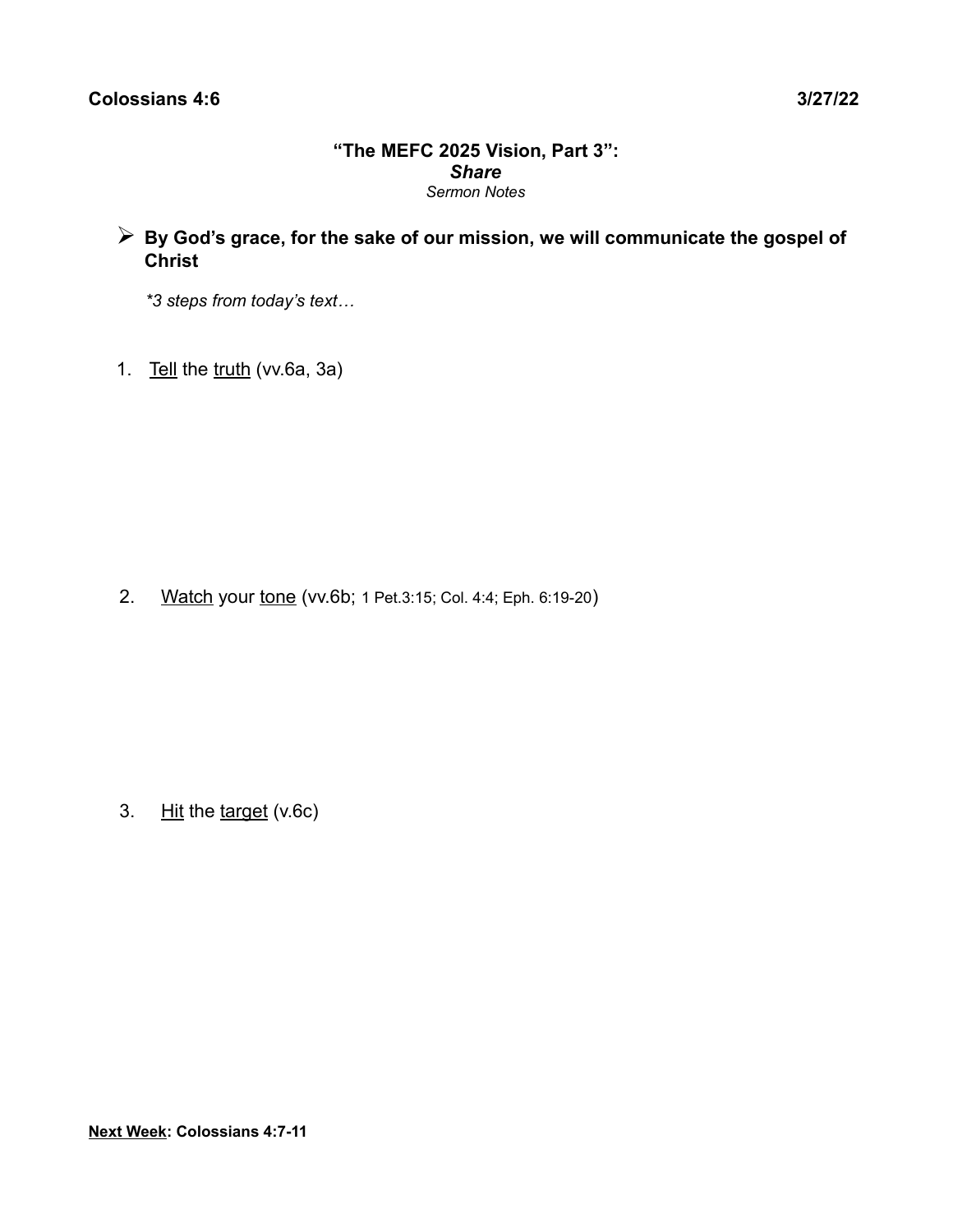#### **"The MEFC 2025 Vision, Part 3":** *Share Sermon Notes*

➢ **By God's grace, for the sake of our mission, we will communicate the gospel of Christ** 

 *\*3 steps from today's text…*

1. Tell the truth (vv.6a, 3a)

2. Watch your tone (vv.6b; 1 Pet.3:15; Col. 4:4; Eph. 6:19-20)

3. Hit the target (v.6c)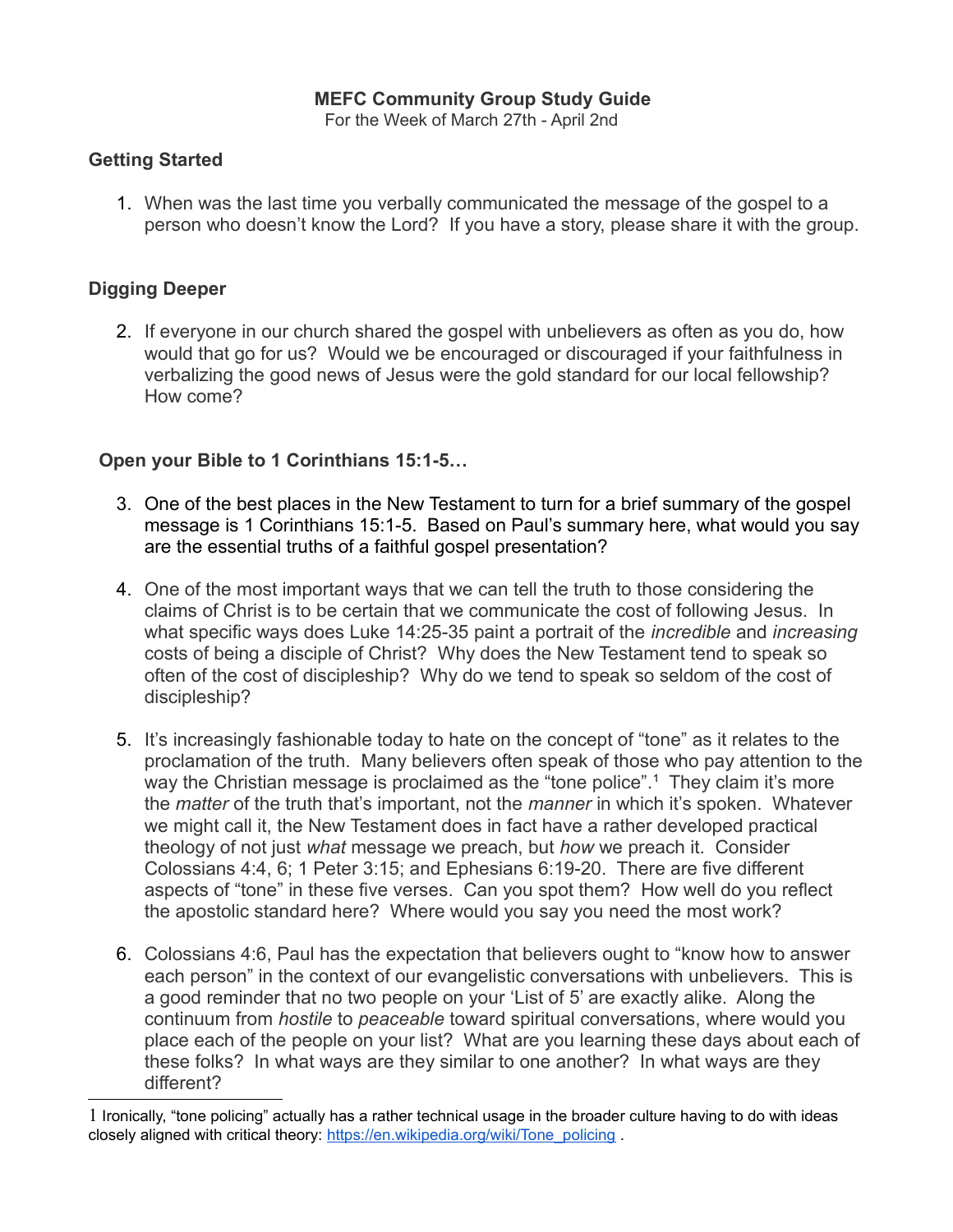# **MEFC Community Group Study Guide**

For the Week of March 27th - April 2nd

# **Getting Started**

1. When was the last time you verbally communicated the message of the gospel to a person who doesn't know the Lord? If you have a story, please share it with the group.

# **Digging Deeper**

2. If everyone in our church shared the gospel with unbelievers as often as you do, how would that go for us? Would we be encouraged or discouraged if your faithfulness in verbalizing the good news of Jesus were the gold standard for our local fellowship? How come?

## **Open your Bible to 1 Corinthians 15:1-5…**

- 3. One of the best places in the New Testament to turn for a brief summary of the gospel message is 1 Corinthians 15:1-5. Based on Paul's summary here, what would you say are the essential truths of a faithful gospel presentation?
- 4. One of the most important ways that we can tell the truth to those considering the claims of Christ is to be certain that we communicate the cost of following Jesus. In what specific ways does Luke 14:25-35 paint a portrait of the *incredible* and *increasing* costs of being a disciple of Christ? Why does the New Testament tend to speak so often of the cost of discipleship? Why do we tend to speak so seldom of the cost of discipleship?
- 5. It's increasingly fashionable today to hate on the concept of "tone" as it relates to the proclamation of the truth. Many believers often speak of those who pay attention to the way the Christian message is proclaimed as the "tone police".<sup>[1](#page-1-0)</sup> They claim it's more the *matter* of the truth that's important, not the *manner* in which it's spoken. Whatever we might call it, the New Testament does in fact have a rather developed practical theology of not just *what* message we preach, but *how* we preach it. Consider Colossians 4:4, 6; 1 Peter 3:15; and Ephesians 6:19-20. There are five different aspects of "tone" in these five verses. Can you spot them? How well do you reflect the apostolic standard here? Where would you say you need the most work?
- 6. Colossians 4:6, Paul has the expectation that believers ought to "know how to answer each person" in the context of our evangelistic conversations with unbelievers. This is a good reminder that no two people on your 'List of 5' are exactly alike. Along the continuum from *hostile* to *peaceable* toward spiritual conversations, where would you place each of the people on your list? What are you learning these days about each of these folks? In what ways are they similar to one another? In what ways are they different?

<span id="page-1-0"></span><sup>1</sup> Ironically, "tone policing" actually has a rather technical usage in the broader culture having to do with ideas closely aligned with critical theory: [https://en.wikipedia.org/wiki/Tone\\_policing](https://en.wikipedia.org/wiki/Tone_policing) .